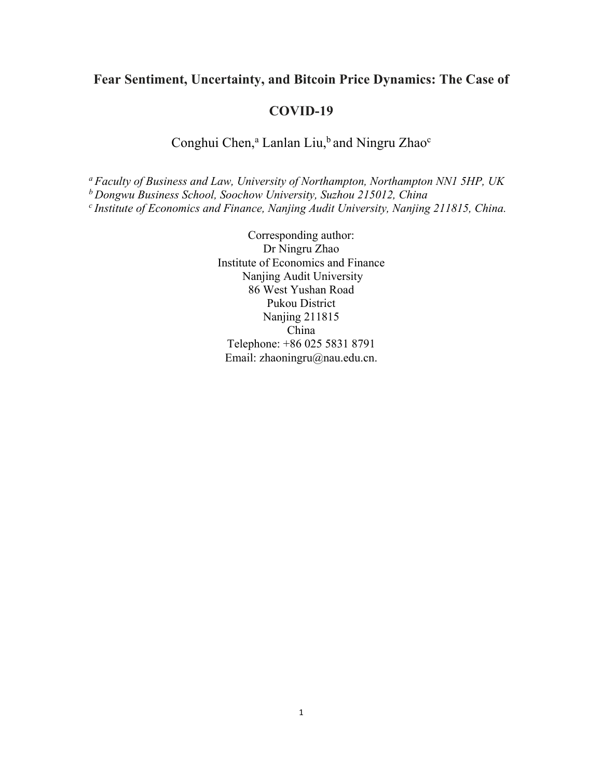# **Fear Sentiment, Uncertainty, and Bitcoin Price Dynamics: The Case of**

## **COVID-19**

# Conghui Chen,<sup>a</sup> Lanlan Liu,<sup>b</sup> and Ningru Zhao<sup>c</sup>

*<sup>a</sup> Faculty of Business and Law, University of Northampton, Northampton NN1 5HP, UK*

*<sup>b</sup> Dongwu Business School, Soochow University, Suzhou 215012, China*

*c Institute of Economics and Finance, Nanjing Audit University, Nanjing 211815, China.* 

Corresponding author: Dr Ningru Zhao Institute of Economics and Finance Nanjing Audit University 86 West Yushan Road Pukou District Nanjing 211815 China Telephone: +86 025 5831 8791 Email: zhaoningru@nau.edu.cn.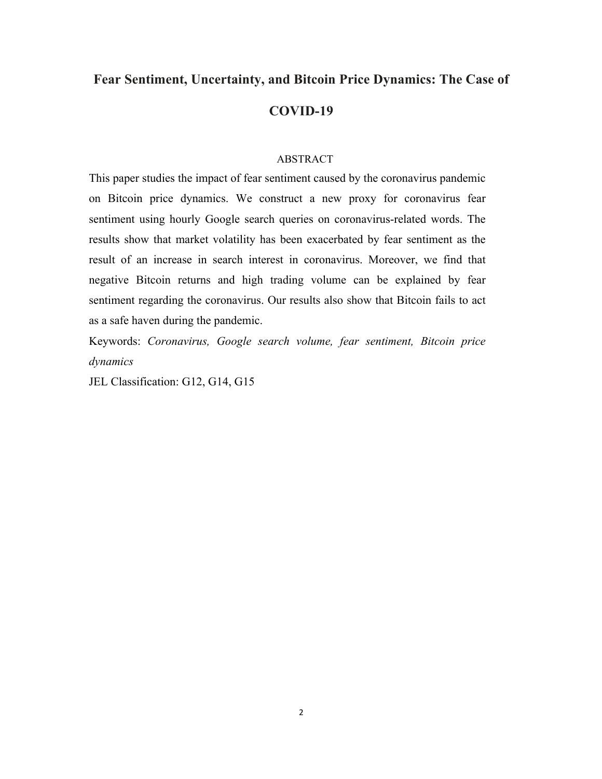# **Fear Sentiment, Uncertainty, and Bitcoin Price Dynamics: The Case of COVID-19**

#### ABSTRACT

This paper studies the impact of fear sentiment caused by the coronavirus pandemic on Bitcoin price dynamics. We construct a new proxy for coronavirus fear sentiment using hourly Google search queries on coronavirus-related words. The results show that market volatility has been exacerbated by fear sentiment as the result of an increase in search interest in coronavirus. Moreover, we find that negative Bitcoin returns and high trading volume can be explained by fear sentiment regarding the coronavirus. Our results also show that Bitcoin fails to act as a safe haven during the pandemic.

Keywords: *Coronavirus, Google search volume, fear sentiment, Bitcoin price dynamics*

JEL Classification: G12, G14, G15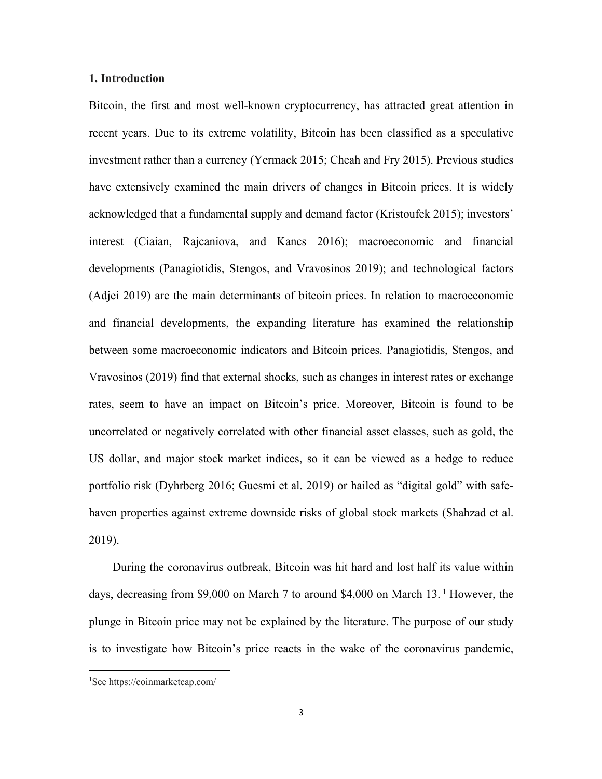## **1. Introduction**

Bitcoin, the first and most well-known cryptocurrency, has attracted great attention in recent years. Due to its extreme volatility, Bitcoin has been classified as a speculative investment rather than a currency (Yermack 2015; Cheah and Fry 2015). Previous studies have extensively examined the main drivers of changes in Bitcoin prices. It is widely acknowledged that a fundamental supply and demand factor (Kristoufek 2015); investors' interest (Ciaian, Rajcaniova, and Kancs 2016); macroeconomic and financial developments (Panagiotidis, Stengos, and Vravosinos 2019); and technological factors (Adjei 2019) are the main determinants of bitcoin prices. In relation to macroeconomic and financial developments, the expanding literature has examined the relationship between some macroeconomic indicators and Bitcoin prices. Panagiotidis, Stengos, and Vravosinos (2019) find that external shocks, such as changes in interest rates or exchange rates, seem to have an impact on Bitcoin's price. Moreover, Bitcoin is found to be uncorrelated or negatively correlated with other financial asset classes, such as gold, the US dollar, and major stock market indices, so it can be viewed as a hedge to reduce portfolio risk (Dyhrberg 2016; Guesmi et al. 2019) or hailed as "digital gold" with safehaven properties against extreme downside risks of global stock markets (Shahzad et al. 2019).

During the coronavirus outbreak, Bitcoin was hit hard and lost half its value within days, decreasing from \$9,000 on March 7 to around \$4,000 on March 13.<sup>1</sup> However, the plunge in Bitcoin price may not be explained by the literature. The purpose of our study is to investigate how Bitcoin's price reacts in the wake of the coronavirus pandemic,

<sup>1</sup> See https://coinmarketcap.com/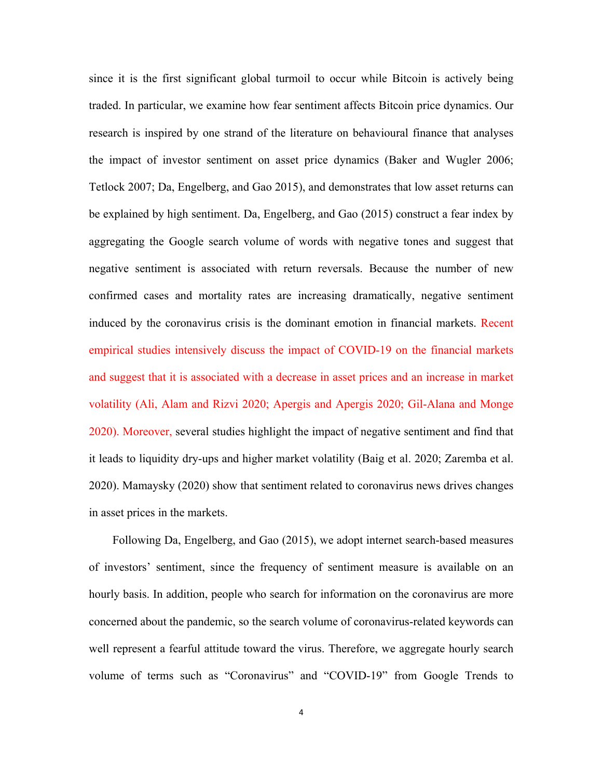since it is the first significant global turmoil to occur while Bitcoin is actively being traded. In particular, we examine how fear sentiment affects Bitcoin price dynamics. Our research is inspired by one strand of the literature on behavioural finance that analyses the impact of investor sentiment on asset price dynamics (Baker and Wugler 2006; Tetlock 2007; Da, Engelberg, and Gao 2015), and demonstrates that low asset returns can be explained by high sentiment. Da, Engelberg, and Gao (2015) construct a fear index by aggregating the Google search volume of words with negative tones and suggest that negative sentiment is associated with return reversals. Because the number of new confirmed cases and mortality rates are increasing dramatically, negative sentiment induced by the coronavirus crisis is the dominant emotion in financial markets. Recent empirical studies intensively discuss the impact of COVID-19 on the financial markets and suggest that it is associated with a decrease in asset prices and an increase in market volatility (Ali, Alam and Rizvi 2020; Apergis and Apergis 2020; Gil-Alana and Monge 2020). Moreover, several studies highlight the impact of negative sentiment and find that it leads to liquidity dry-ups and higher market volatility (Baig et al. 2020; Zaremba et al. 2020). Mamaysky (2020) show that sentiment related to coronavirus news drives changes in asset prices in the markets.

Following Da, Engelberg, and Gao (2015), we adopt internet search-based measures of investors' sentiment, since the frequency of sentiment measure is available on an hourly basis. In addition, people who search for information on the coronavirus are more concerned about the pandemic, so the search volume of coronavirus-related keywords can well represent a fearful attitude toward the virus. Therefore, we aggregate hourly search volume of terms such as "Coronavirus" and "COVID-19" from Google Trends to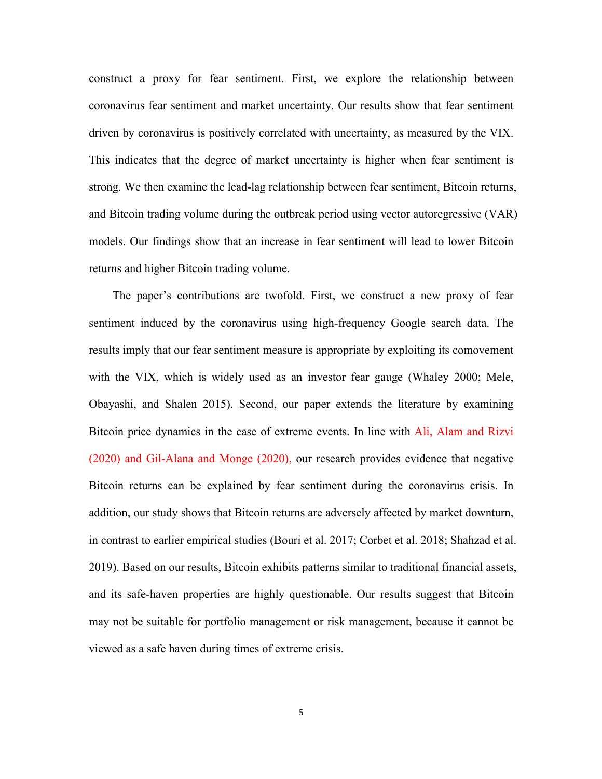construct a proxy for fear sentiment. First, we explore the relationship between coronavirus fear sentiment and market uncertainty. Our results show that fear sentiment driven by coronavirus is positively correlated with uncertainty, as measured by the VIX. This indicates that the degree of market uncertainty is higher when fear sentiment is strong. We then examine the lead-lag relationship between fear sentiment, Bitcoin returns, and Bitcoin trading volume during the outbreak period using vector autoregressive (VAR) models. Our findings show that an increase in fear sentiment will lead to lower Bitcoin returns and higher Bitcoin trading volume.

The paper's contributions are twofold. First, we construct a new proxy of fear sentiment induced by the coronavirus using high-frequency Google search data. The results imply that our fear sentiment measure is appropriate by exploiting its comovement with the VIX, which is widely used as an investor fear gauge (Whaley 2000; Mele, Obayashi, and Shalen 2015). Second, our paper extends the literature by examining Bitcoin price dynamics in the case of extreme events. In line with Ali, Alam and Rizvi (2020) and Gil-Alana and Monge (2020), our research provides evidence that negative Bitcoin returns can be explained by fear sentiment during the coronavirus crisis. In addition, our study shows that Bitcoin returns are adversely affected by market downturn, in contrast to earlier empirical studies (Bouri et al. 2017; Corbet et al. 2018; Shahzad et al. 2019). Based on our results, Bitcoin exhibits patterns similar to traditional financial assets, and its safe-haven properties are highly questionable. Our results suggest that Bitcoin may not be suitable for portfolio management or risk management, because it cannot be viewed as a safe haven during times of extreme crisis.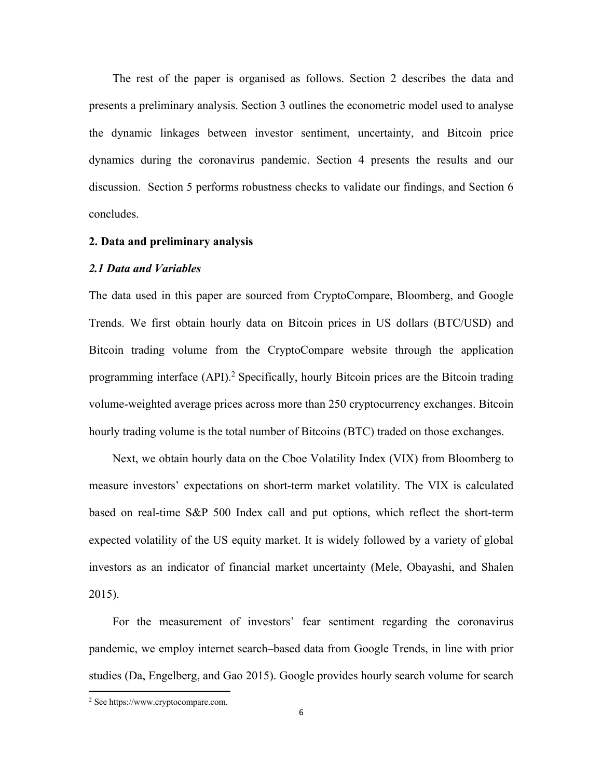The rest of the paper is organised as follows. Section 2 describes the data and presents a preliminary analysis. Section 3 outlines the econometric model used to analyse the dynamic linkages between investor sentiment, uncertainty, and Bitcoin price dynamics during the coronavirus pandemic. Section 4 presents the results and our discussion. Section 5 performs robustness checks to validate our findings, and Section 6 concludes.

#### **2. Data and preliminary analysis**

#### *2.1 Data and Variables*

The data used in this paper are sourced from CryptoCompare, Bloomberg, and Google Trends. We first obtain hourly data on Bitcoin prices in US dollars (BTC/USD) and Bitcoin trading volume from the CryptoCompare website through the application programming interface (API).<sup>2</sup> Specifically, hourly Bitcoin prices are the Bitcoin trading volume-weighted average prices across more than 250 cryptocurrency exchanges. Bitcoin hourly trading volume is the total number of Bitcoins (BTC) traded on those exchanges.

Next, we obtain hourly data on the Cboe Volatility Index (VIX) from Bloomberg to measure investors' expectations on short-term market volatility. The VIX is calculated based on real-time S&P 500 Index call and put options, which reflect the short-term expected volatility of the US equity market. It is widely followed by a variety of global investors as an indicator of financial market uncertainty (Mele, Obayashi, and Shalen 2015).

For the measurement of investors' fear sentiment regarding the coronavirus pandemic, we employ internet search–based data from Google Trends, in line with prior studies (Da, Engelberg, and Gao 2015). Google provides hourly search volume for search

<sup>2</sup> See https://www.cryptocompare.com.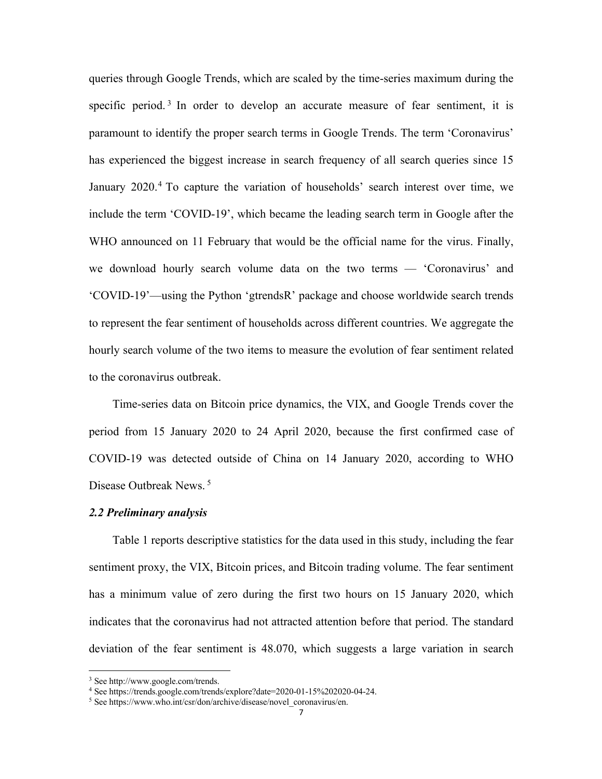queries through Google Trends, which are scaled by the time-series maximum during the specific period.<sup>3</sup> In order to develop an accurate measure of fear sentiment, it is paramount to identify the proper search terms in Google Trends. The term 'Coronavirus' has experienced the biggest increase in search frequency of all search queries since 15 January 2020.<sup>4</sup> To capture the variation of households' search interest over time, we include the term 'COVID-19', which became the leading search term in Google after the WHO announced on 11 February that would be the official name for the virus. Finally, we download hourly search volume data on the two terms — 'Coronavirus' and 'COVID-19'—using the Python 'gtrendsR' package and choose worldwide search trends to represent the fear sentiment of households across different countries. We aggregate the hourly search volume of the two items to measure the evolution of fear sentiment related to the coronavirus outbreak.

Time-series data on Bitcoin price dynamics, the VIX, and Google Trends cover the period from 15 January 2020 to 24 April 2020, because the first confirmed case of COVID-19 was detected outside of China on 14 January 2020, according to WHO Disease Outbreak News. <sup>5</sup>

#### *2.2 Preliminary analysis*

Table 1 reports descriptive statistics for the data used in this study, including the fear sentiment proxy, the VIX, Bitcoin prices, and Bitcoin trading volume. The fear sentiment has a minimum value of zero during the first two hours on 15 January 2020, which indicates that the coronavirus had not attracted attention before that period. The standard deviation of the fear sentiment is 48.070, which suggests a large variation in search

<sup>3</sup> See http://www.google.com/trends.

<sup>4</sup> See https://trends.google.com/trends/explore?date=2020-01-15%202020-04-24.

<sup>&</sup>lt;sup>5</sup> See https://www.who.int/csr/don/archive/disease/novel\_coronavirus/en.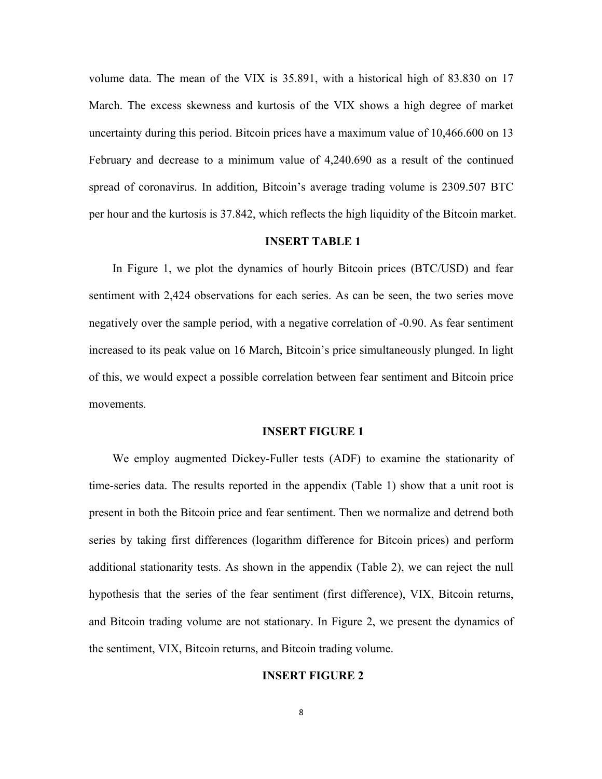volume data. The mean of the VIX is 35.891, with a historical high of 83.830 on 17 March. The excess skewness and kurtosis of the VIX shows a high degree of market uncertainty during this period. Bitcoin prices have a maximum value of 10,466.600 on 13 February and decrease to a minimum value of 4,240.690 as a result of the continued spread of coronavirus. In addition, Bitcoin's average trading volume is 2309.507 BTC per hour and the kurtosis is 37.842, which reflects the high liquidity of the Bitcoin market.

## **INSERT TABLE 1**

In Figure 1, we plot the dynamics of hourly Bitcoin prices (BTC/USD) and fear sentiment with 2,424 observations for each series. As can be seen, the two series move negatively over the sample period, with a negative correlation of -0.90. As fear sentiment increased to its peak value on 16 March, Bitcoin's price simultaneously plunged. In light of this, we would expect a possible correlation between fear sentiment and Bitcoin price movements.

#### **INSERT FIGURE 1**

We employ augmented Dickey-Fuller tests (ADF) to examine the stationarity of time-series data. The results reported in the appendix (Table 1) show that a unit root is present in both the Bitcoin price and fear sentiment. Then we normalize and detrend both series by taking first differences (logarithm difference for Bitcoin prices) and perform additional stationarity tests. As shown in the appendix (Table 2), we can reject the null hypothesis that the series of the fear sentiment (first difference), VIX, Bitcoin returns, and Bitcoin trading volume are not stationary. In Figure 2, we present the dynamics of the sentiment, VIX, Bitcoin returns, and Bitcoin trading volume.

#### **INSERT FIGURE 2**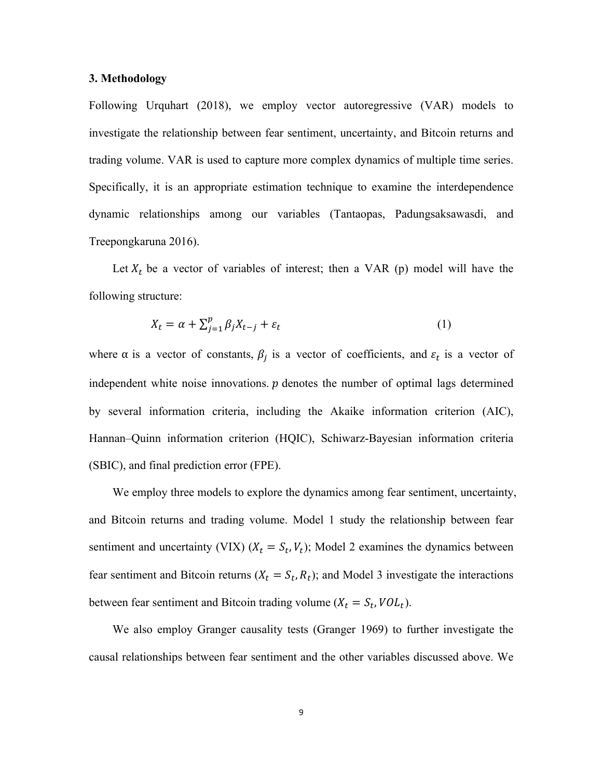#### **3. Methodology**

Following Urquhart (2018), we employ vector autoregressive (VAR) models to investigate the relationship between fear sentiment, uncertainty, and Bitcoin returns and trading volume. VAR is used to capture more complex dynamics of multiple time series. Specifically, it is an appropriate estimation technique to examine the interdependence dynamic relationships among our variables (Tantaopas, Padungsaksawasdi, and Treepongkaruna 2016).

Let  $X_t$  be a vector of variables of interest; then a VAR (p) model will have the following structure:

$$
X_t = \alpha + \sum_{j=1}^p \beta_j X_{t-j} + \varepsilon_t \tag{1}
$$

where  $\alpha$  is a vector of constants,  $\beta_j$  is a vector of coefficients, and  $\varepsilon_t$  is a vector of independent white noise innovations.  $p$  denotes the number of optimal lags determined by several information criteria, including the Akaike information criterion (AIC), Hannan–Quinn information criterion (HQIC), Schiwarz-Bayesian information criteria (SBIC), and final prediction error (FPE).

We employ three models to explore the dynamics among fear sentiment, uncertainty, and Bitcoin returns and trading volume. Model 1 study the relationship between fear sentiment and uncertainty (VIX) ( $X_t = S_t$ ,  $V_t$ ); Model 2 examines the dynamics between fear sentiment and Bitcoin returns ( $X_t = S_t$ ,  $R_t$ ); and Model 3 investigate the interactions between fear sentiment and Bitcoin trading volume ( $X_t = S_t$ ,  $VOL_t$ ).

We also employ Granger causality tests (Granger 1969) to further investigate the causal relationships between fear sentiment and the other variables discussed above. We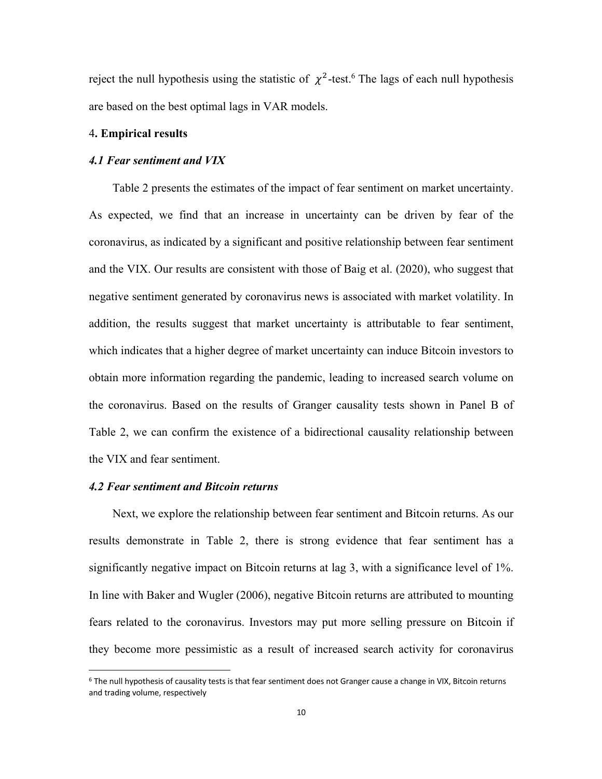reject the null hypothesis using the statistic of  $\chi^2$ -test.<sup>6</sup> The lags of each null hypothesis are based on the best optimal lags in VAR models.

## 4**. Empirical results**

#### *4.1 Fear sentiment and VIX*

Table 2 presents the estimates of the impact of fear sentiment on market uncertainty. As expected, we find that an increase in uncertainty can be driven by fear of the coronavirus, as indicated by a significant and positive relationship between fear sentiment and the VIX. Our results are consistent with those of Baig et al. (2020), who suggest that negative sentiment generated by coronavirus news is associated with market volatility. In addition, the results suggest that market uncertainty is attributable to fear sentiment, which indicates that a higher degree of market uncertainty can induce Bitcoin investors to obtain more information regarding the pandemic, leading to increased search volume on the coronavirus. Based on the results of Granger causality tests shown in Panel B of Table 2, we can confirm the existence of a bidirectional causality relationship between the VIX and fear sentiment.

## *4.2 Fear sentiment and Bitcoin returns*

Next, we explore the relationship between fear sentiment and Bitcoin returns. As our results demonstrate in Table 2, there is strong evidence that fear sentiment has a significantly negative impact on Bitcoin returns at lag 3, with a significance level of 1%. In line with Baker and Wugler (2006), negative Bitcoin returns are attributed to mounting fears related to the coronavirus. Investors may put more selling pressure on Bitcoin if they become more pessimistic as a result of increased search activity for coronavirus

 $6$  The null hypothesis of causality tests is that fear sentiment does not Granger cause a change in VIX, Bitcoin returns and trading volume, respectively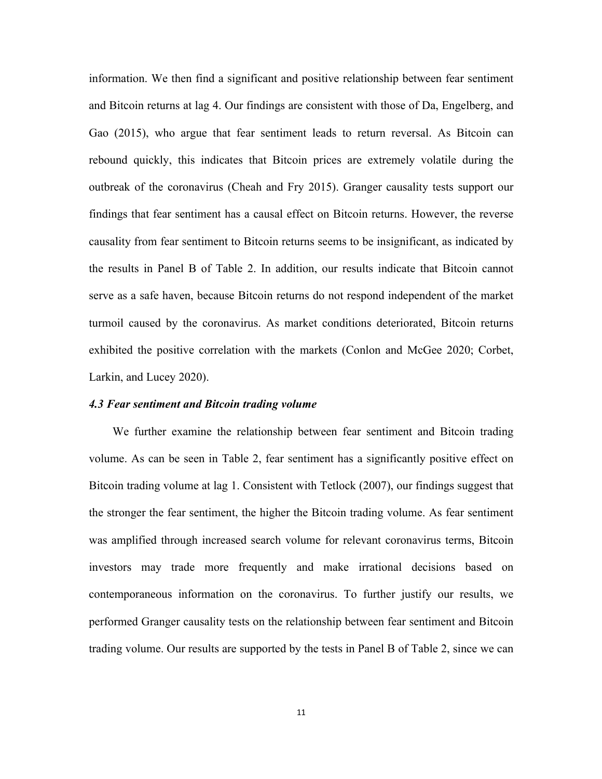information. We then find a significant and positive relationship between fear sentiment and Bitcoin returns at lag 4. Our findings are consistent with those of Da, Engelberg, and Gao (2015), who argue that fear sentiment leads to return reversal. As Bitcoin can rebound quickly, this indicates that Bitcoin prices are extremely volatile during the outbreak of the coronavirus (Cheah and Fry 2015). Granger causality tests support our findings that fear sentiment has a causal effect on Bitcoin returns. However, the reverse causality from fear sentiment to Bitcoin returns seems to be insignificant, as indicated by the results in Panel B of Table 2. In addition, our results indicate that Bitcoin cannot serve as a safe haven, because Bitcoin returns do not respond independent of the market turmoil caused by the coronavirus. As market conditions deteriorated, Bitcoin returns exhibited the positive correlation with the markets (Conlon and McGee 2020; Corbet, Larkin, and Lucey 2020).

#### *4.3 Fear sentiment and Bitcoin trading volume*

We further examine the relationship between fear sentiment and Bitcoin trading volume. As can be seen in Table 2, fear sentiment has a significantly positive effect on Bitcoin trading volume at lag 1. Consistent with Tetlock (2007), our findings suggest that the stronger the fear sentiment, the higher the Bitcoin trading volume. As fear sentiment was amplified through increased search volume for relevant coronavirus terms, Bitcoin investors may trade more frequently and make irrational decisions based on contemporaneous information on the coronavirus. To further justify our results, we performed Granger causality tests on the relationship between fear sentiment and Bitcoin trading volume. Our results are supported by the tests in Panel B of Table 2, since we can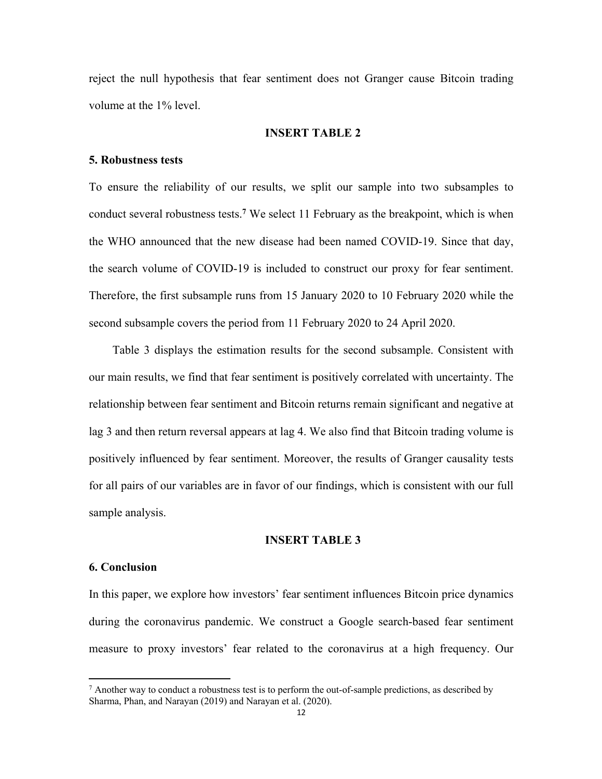reject the null hypothesis that fear sentiment does not Granger cause Bitcoin trading volume at the 1% level.

## **INSERT TABLE 2**

#### **5. Robustness tests**

To ensure the reliability of our results, we split our sample into two subsamples to conduct several robustness tests. **<sup>7</sup>** We select 11 February as the breakpoint, which is when the WHO announced that the new disease had been named COVID-19. Since that day, the search volume of COVID-19 is included to construct our proxy for fear sentiment. Therefore, the first subsample runs from 15 January 2020 to 10 February 2020 while the second subsample covers the period from 11 February 2020 to 24 April 2020.

Table 3 displays the estimation results for the second subsample. Consistent with our main results, we find that fear sentiment is positively correlated with uncertainty. The relationship between fear sentiment and Bitcoin returns remain significant and negative at lag 3 and then return reversal appears at lag 4. We also find that Bitcoin trading volume is positively influenced by fear sentiment. Moreover, the results of Granger causality tests for all pairs of our variables are in favor of our findings, which is consistent with our full sample analysis.

#### **INSERT TABLE 3**

#### **6. Conclusion**

In this paper, we explore how investors' fear sentiment influences Bitcoin price dynamics during the coronavirus pandemic. We construct a Google search-based fear sentiment measure to proxy investors' fear related to the coronavirus at a high frequency. Our

 $^7$  Another way to conduct a robustness test is to perform the out-of-sample predictions, as described by Sharma, Phan, and Narayan (2019) and Narayan et al. (2020).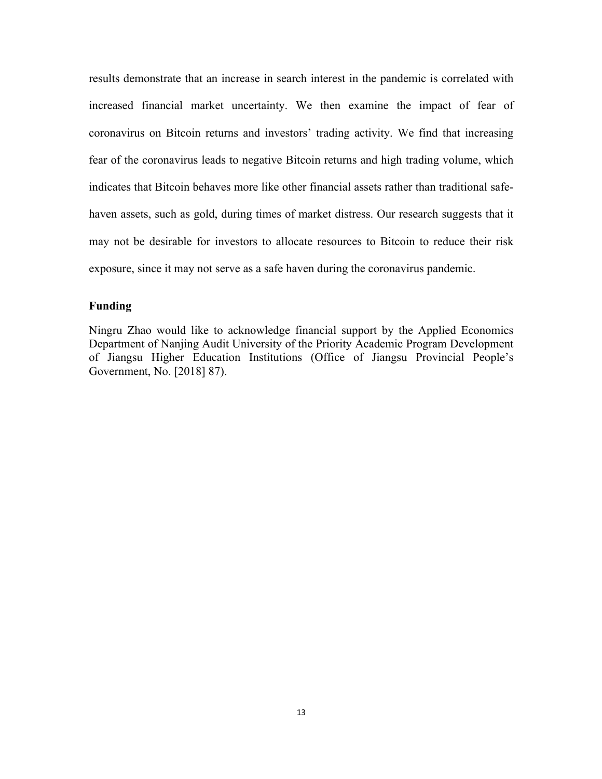results demonstrate that an increase in search interest in the pandemic is correlated with increased financial market uncertainty. We then examine the impact of fear of coronavirus on Bitcoin returns and investors' trading activity. We find that increasing fear of the coronavirus leads to negative Bitcoin returns and high trading volume, which indicates that Bitcoin behaves more like other financial assets rather than traditional safehaven assets, such as gold, during times of market distress. Our research suggests that it may not be desirable for investors to allocate resources to Bitcoin to reduce their risk exposure, since it may not serve as a safe haven during the coronavirus pandemic.

## **Funding**

Ningru Zhao would like to acknowledge financial support by the Applied Economics Department of Nanjing Audit University of the Priority Academic Program Development of Jiangsu Higher Education Institutions (Office of Jiangsu Provincial People's Government, No. [2018] 87).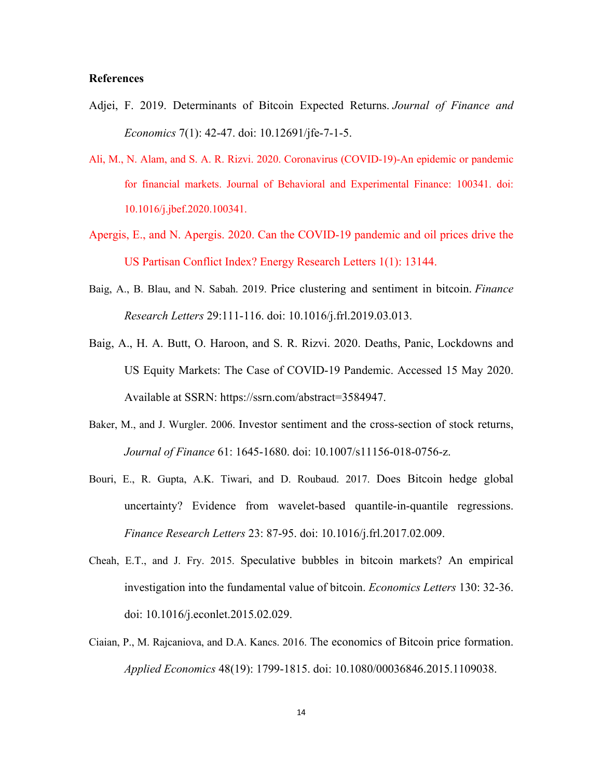## **References**

- Adjei, F. 2019. Determinants of Bitcoin Expected Returns. *Journal of Finance and Economics* 7(1): 42-47. doi: 10.12691/jfe-7-1-5.
- Ali, M., N. Alam, and S. A. R. Rizvi. 2020. Coronavirus (COVID-19)-An epidemic or pandemic for financial markets. Journal of Behavioral and Experimental Finance: 100341. doi: 10.1016/j.jbef.2020.100341.
- Apergis, E., and N. Apergis. 2020. Can the COVID-19 pandemic and oil prices drive the US Partisan Conflict Index? Energy Research Letters 1(1): 13144.
- Baig, A., B. Blau, and N. Sabah. 2019. Price clustering and sentiment in bitcoin. *Finance Research Letters* 29:111-116. doi: 10.1016/j.frl.2019.03.013.
- Baig, A., H. A. Butt, O. Haroon, and S. R. Rizvi. 2020. Deaths, Panic, Lockdowns and US Equity Markets: The Case of COVID-19 Pandemic. Accessed 15 May 2020. Available at SSRN: https://ssrn.com/abstract=3584947.
- Baker, M., and J. Wurgler. 2006. Investor sentiment and the cross-section of stock returns, *Journal of Finance* 61: 1645-1680. doi: 10.1007/s11156-018-0756-z.
- Bouri, E., R. Gupta, A.K. Tiwari, and D. Roubaud. 2017. Does Bitcoin hedge global uncertainty? Evidence from wavelet-based quantile-in-quantile regressions. *Finance Research Letters* 23: 87-95. doi: 10.1016/j.frl.2017.02.009.
- Cheah, E.T., and J. Fry. 2015. Speculative bubbles in bitcoin markets? An empirical investigation into the fundamental value of bitcoin. *Economics Letters* 130: 32-36. doi: 10.1016/j.econlet.2015.02.029.
- Ciaian, P., M. Rajcaniova, and D.A. Kancs. 2016. The economics of Bitcoin price formation. *Applied Economics* 48(19): 1799-1815. doi: 10.1080/00036846.2015.1109038.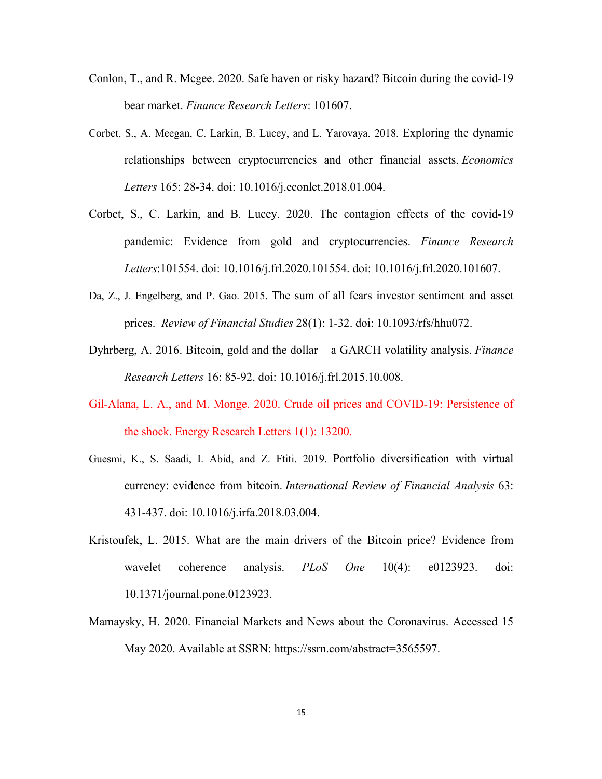- Conlon, T., and R. Mcgee. 2020. Safe haven or risky hazard? Bitcoin during the covid-19 bear market. *Finance Research Letters*: 101607.
- Corbet, S., A. Meegan, C. Larkin, B. Lucey, and L. Yarovaya. 2018. Exploring the dynamic relationships between cryptocurrencies and other financial assets. *Economics Letters* 165: 28-34. doi: 10.1016/j.econlet.2018.01.004.
- Corbet, S., C. Larkin, and B. Lucey. 2020. The contagion effects of the covid-19 pandemic: Evidence from gold and cryptocurrencies. *Finance Research Letters*:101554. doi: 10.1016/j.frl.2020.101554. doi: 10.1016/j.frl.2020.101607.
- Da, Z., J. Engelberg, and P. Gao. 2015. The sum of all fears investor sentiment and asset prices. *Review of Financial Studies* 28(1): 1-32. doi: 10.1093/rfs/hhu072.
- Dyhrberg, A. 2016. Bitcoin, gold and the dollar a GARCH volatility analysis. *Finance Research Letters* 16: 85-92. doi: 10.1016/j.frl.2015.10.008.
- Gil-Alana, L. A., and M. Monge. 2020. Crude oil prices and COVID-19: Persistence of the shock. Energy Research Letters 1(1): 13200.
- Guesmi, K., S. Saadi, I. Abid, and Z. Ftiti. 2019. Portfolio diversification with virtual currency: evidence from bitcoin. *International Review of Financial Analysis* 63: 431-437. doi: 10.1016/j.irfa.2018.03.004.
- Kristoufek, L. 2015. What are the main drivers of the Bitcoin price? Evidence from wavelet coherence analysis. *PLoS One* 10(4): e0123923. doi: 10.1371/journal.pone.0123923.
- Mamaysky, H. 2020. Financial Markets and News about the Coronavirus. Accessed 15 May 2020. Available at SSRN: https://ssrn.com/abstract=3565597.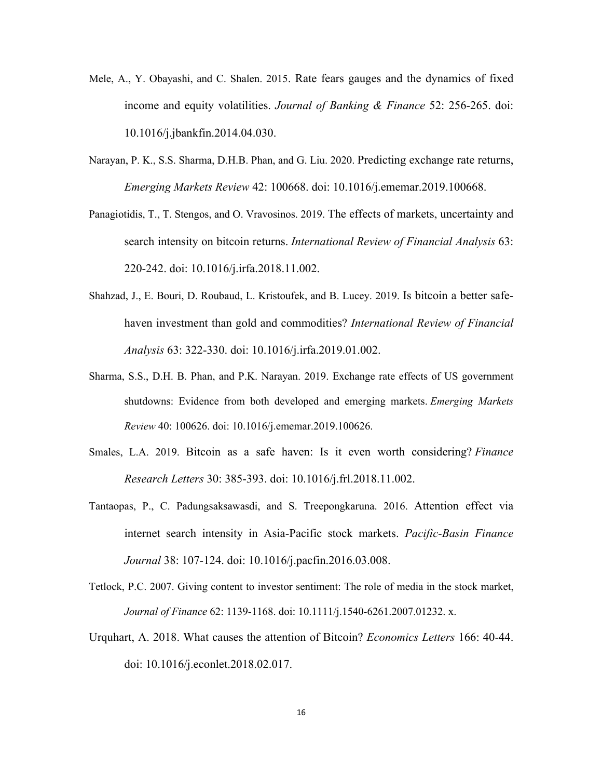- Mele, A., Y. Obayashi, and C. Shalen. 2015. Rate fears gauges and the dynamics of fixed income and equity volatilities. *Journal of Banking & Finance* 52: 256-265. doi: 10.1016/j.jbankfin.2014.04.030.
- Narayan, P. K., S.S. Sharma, D.H.B. Phan, and G. Liu. 2020. Predicting exchange rate returns, *Emerging Markets Review* 42: 100668. doi: 10.1016/j.ememar.2019.100668.
- Panagiotidis, T., T. Stengos, and O. Vravosinos. 2019. The effects of markets, uncertainty and search intensity on bitcoin returns. *International Review of Financial Analysis* 63: 220-242. doi: 10.1016/j.irfa.2018.11.002.
- Shahzad, J., E. Bouri, D. Roubaud, L. Kristoufek, and B. Lucey. 2019. Is bitcoin a better safehaven investment than gold and commodities? *International Review of Financial Analysis* 63: 322-330. doi: 10.1016/j.irfa.2019.01.002.
- Sharma, S.S., D.H. B. Phan, and P.K. Narayan. 2019. Exchange rate effects of US government shutdowns: Evidence from both developed and emerging markets. *Emerging Markets Review* 40: 100626. doi: 10.1016/j.ememar.2019.100626.
- Smales, L.A. 2019. Bitcoin as a safe haven: Is it even worth considering? *Finance Research Letters* 30: 385-393. doi: 10.1016/j.frl.2018.11.002.
- Tantaopas, P., C. Padungsaksawasdi, and S. Treepongkaruna. 2016. Attention effect via internet search intensity in Asia-Pacific stock markets. *Pacific-Basin Finance Journal* 38: 107-124. doi: 10.1016/j.pacfin.2016.03.008.
- Tetlock, P.C. 2007. Giving content to investor sentiment: The role of media in the stock market, *Journal of Finance* 62: 1139-1168. doi: 10.1111/j.1540-6261.2007.01232. x.
- Urquhart, A. 2018. What causes the attention of Bitcoin? *Economics Letters* 166: 40-44. doi: 10.1016/j.econlet.2018.02.017.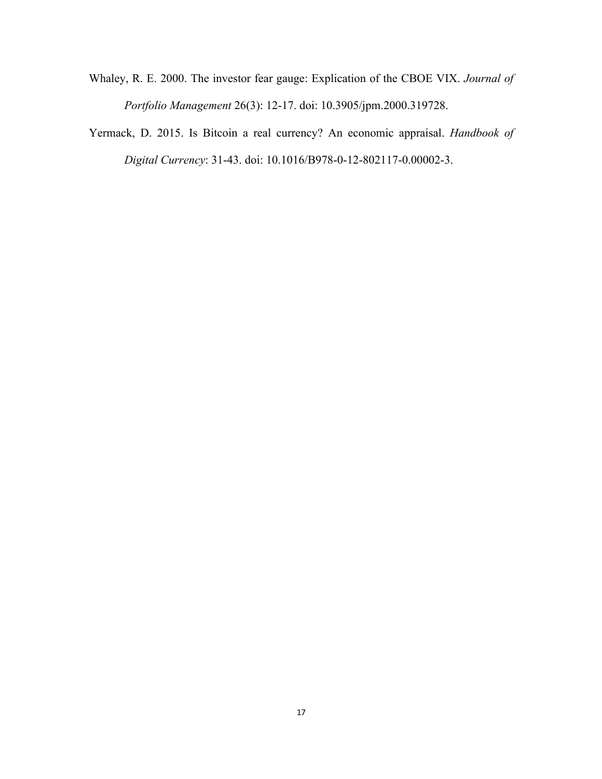- Whaley, R. E. 2000. The investor fear gauge: Explication of the CBOE VIX. *Journal of Portfolio Management* 26(3): 12-17. doi: 10.3905/jpm.2000.319728.
- Yermack, D. 2015. Is Bitcoin a real currency? An economic appraisal. *Handbook of Digital Currency*: 31-43. doi: 10.1016/B978-0-12-802117-0.00002-3.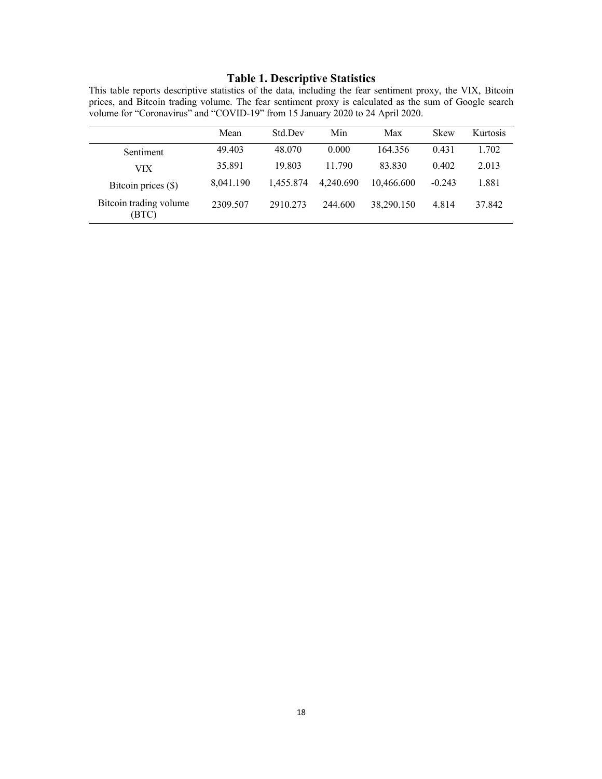## **Table 1. Descriptive Statistics**

This table reports descriptive statistics of the data, including the fear sentiment proxy, the VIX, Bitcoin prices, and Bitcoin trading volume. The fear sentiment proxy is calculated as the sum of Google search volume for "Coronavirus" and "COVID-19" from 15 January 2020 to 24 April 2020.

|                                 | Mean      | Std Dev   | Min       | Max        | <b>Skew</b> | Kurtosis |
|---------------------------------|-----------|-----------|-----------|------------|-------------|----------|
| Sentiment                       | 49.403    | 48.070    | 0.000     | 164.356    | 0.431       | 1.702    |
| VIX                             | 35.891    | 19.803    | 11.790    | 83.830     | 0.402       | 2.013    |
| Bitcoin prices (\$)             | 8,041.190 | 1.455.874 | 4.240.690 | 10.466.600 | $-0.243$    | 1.881    |
| Bitcoin trading volume<br>(BTC) | 2309.507  | 2910.273  | 244.600   | 38,290.150 | 4.814       | 37.842   |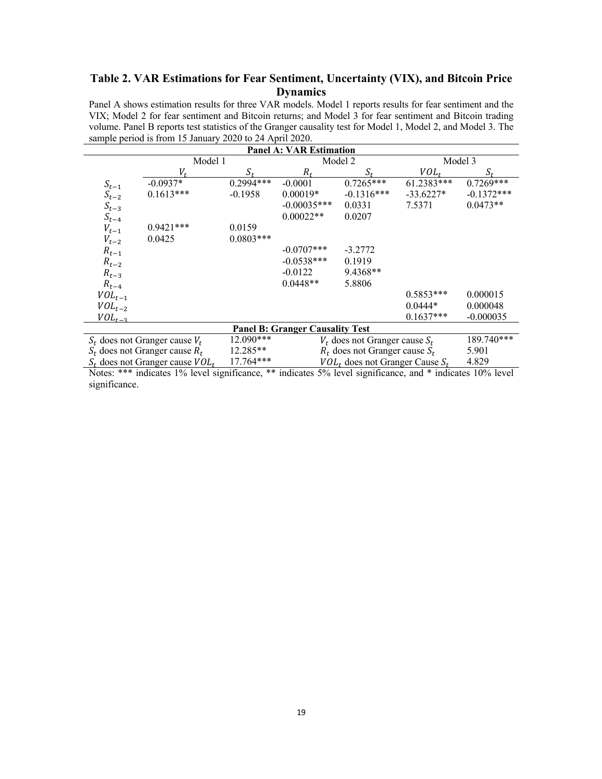## **Table 2. VAR Estimations for Fear Sentiment, Uncertainty (VIX), and Bitcoin Price Dynamics**

Panel A shows estimation results for three VAR models. Model 1 reports results for fear sentiment and the VIX; Model 2 for fear sentiment and Bitcoin returns; and Model 3 for fear sentiment and Bitcoin trading volume. Panel B reports test statistics of the Granger causality test for Model 1, Model 2, and Model 3. The sample period is from 15 January 2020 to 24 April 2020.

| <b>Panel A: VAR Estimation</b>                  |                                                                                                         |             |               |                                      |              |              |  |  |
|-------------------------------------------------|---------------------------------------------------------------------------------------------------------|-------------|---------------|--------------------------------------|--------------|--------------|--|--|
|                                                 | Model 1                                                                                                 |             | Model 2       |                                      | Model 3      |              |  |  |
|                                                 | V,                                                                                                      | $S_{\star}$ | $R_{t}$       | $S_{\star}$                          | $VOL_{t}$    | S.           |  |  |
| $S_{t-1}$                                       | $-0.0937*$                                                                                              | $0.2994***$ | $-0.0001$     | $0.7265***$                          | $61.2383***$ | $0.7269***$  |  |  |
| $S_{t-2}$                                       | $0.1613***$                                                                                             | $-0.1958$   | $0.00019*$    | $-0.1316***$                         | $-33.6227*$  | $-0.1372***$ |  |  |
| $S_{t-3}$                                       |                                                                                                         |             | $-0.00035***$ | 0.0331                               | 7.5371       | $0.0473**$   |  |  |
| $S_{t-4}$                                       |                                                                                                         |             | $0.00022**$   | 0.0207                               |              |              |  |  |
| $V_{t-1}$                                       | $0.9421***$                                                                                             | 0.0159      |               |                                      |              |              |  |  |
| $V_{t-2}$                                       | 0.0425                                                                                                  | $0.0803***$ |               |                                      |              |              |  |  |
| $R_{t-1}$                                       |                                                                                                         |             | $-0.0707$ *** | $-3.2772$                            |              |              |  |  |
| $R_{t-2}$                                       |                                                                                                         |             | $-0.0538***$  | 0.1919                               |              |              |  |  |
| $R_{t-3}$                                       |                                                                                                         |             | $-0.0122$     | $9.4368**$                           |              |              |  |  |
| $R_{t-4}$                                       |                                                                                                         |             | $0.0448**$    | 5.8806                               |              |              |  |  |
| $VOL_{t-1}$                                     |                                                                                                         |             |               |                                      | $0.5853***$  | 0.000015     |  |  |
| $VOL_{t-2}$                                     |                                                                                                         |             |               |                                      | $0.0444*$    | 0.000048     |  |  |
| $VOL_{t-3}$                                     |                                                                                                         |             |               |                                      | $0.1637***$  | $-0.000035$  |  |  |
| <b>Panel B: Granger Causality Test</b>          |                                                                                                         |             |               |                                      |              |              |  |  |
| 12.090***<br>$S_t$ does not Granger cause $V_t$ |                                                                                                         |             |               | $V_t$ does not Granger cause $S_t$   |              | 189.740***   |  |  |
|                                                 | $S_t$ does not Granger cause $R_t$                                                                      | $12.285**$  |               | $R_t$ does not Granger cause $S_t$   |              | 5.901        |  |  |
|                                                 | $S_t$ does not Granger cause $VOL_t$                                                                    | 17.764***   |               | $VOL_t$ does not Granger Cause $S_t$ |              | 4.829        |  |  |
|                                                 | Notes: *** indicates 1% level significance ** indicates 5% level significance and * indicates 10% level |             |               |                                      |              |              |  |  |

Notes: \*\*\* indicates 1% level significance, \*\* indicates 5% level significance, and \* indicates 10% level significance.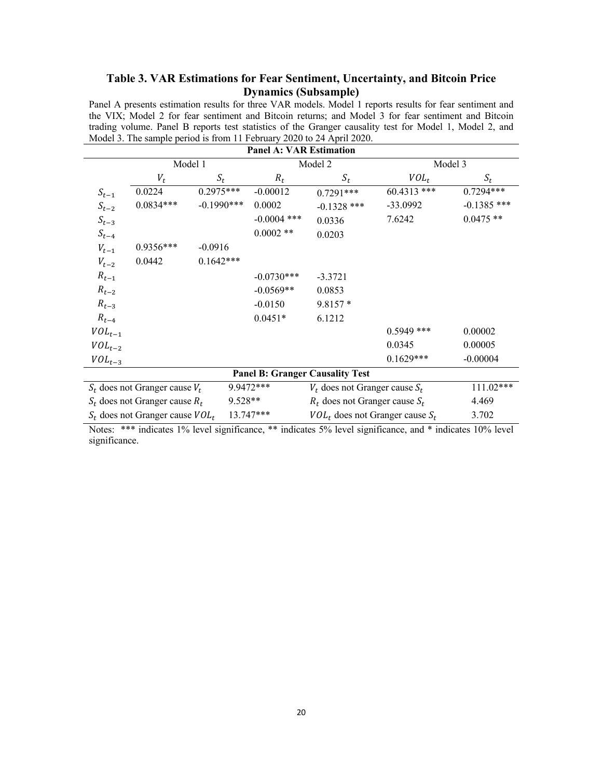## **Table 3. VAR Estimations for Fear Sentiment, Uncertainty, and Bitcoin Price Dynamics (Subsample)**

Panel A presents estimation results for three VAR models. Model 1 reports results for fear sentiment and the VIX; Model 2 for fear sentiment and Bitcoin returns; and Model 3 for fear sentiment and Bitcoin trading volume. Panel B reports test statistics of the Granger causality test for Model 1, Model 2, and Model 3. The sample period is from 11 February 2020 to 24 April 2020.

| <b>Panel A: VAR Estimation</b>                    |                                               |               |                                    |                                               |                                    |               |  |  |
|---------------------------------------------------|-----------------------------------------------|---------------|------------------------------------|-----------------------------------------------|------------------------------------|---------------|--|--|
|                                                   |                                               | Model 1       |                                    | Model 2                                       |                                    | Model 3       |  |  |
|                                                   | $V_t$                                         | $S_t$         | $R_t$                              | $S_t$                                         | $VOL_t$                            | $S_t$         |  |  |
| $S_{t-1}$                                         | 0.0224                                        | $0.2975***$   | $-0.00012$                         | $0.7291***$                                   | $60.4313$ ***                      | $0.7294***$   |  |  |
| $S_{t-2}$                                         | $0.0834***$                                   | $-0.1990$ *** | 0.0002                             | $-0.1328$ ***                                 | $-33.0992$                         | $-0.1385$ *** |  |  |
| $S_{t-3}$                                         |                                               |               | $-0.0004$ ***                      | 0.0336                                        | 7.6242                             | $0.0475**$    |  |  |
| $S_{t-4}$                                         |                                               |               | $0.0002$ **                        | 0.0203                                        |                                    |               |  |  |
| $V_{t-1}$                                         | 0.9356***                                     | $-0.0916$     |                                    |                                               |                                    |               |  |  |
| $V_{t-2}$                                         | 0.0442                                        | $0.1642***$   |                                    |                                               |                                    |               |  |  |
| $R_{t-1}$                                         |                                               |               | $-0.0730***$                       | $-3.3721$                                     |                                    |               |  |  |
| $R_{t-2}$                                         |                                               |               | $-0.0569**$                        | 0.0853                                        |                                    |               |  |  |
| $R_{t-3}$                                         |                                               |               | $-0.0150$                          | $9.8157*$                                     |                                    |               |  |  |
| $R_{t-4}$                                         |                                               |               | $0.0451*$                          | 6.1212                                        |                                    |               |  |  |
| $VOL_{t-1}$                                       |                                               |               |                                    |                                               | $0.5949$ ***                       | 0.00002       |  |  |
| $VOL_{t-2}$                                       |                                               |               |                                    |                                               | 0.0345                             | 0.00005       |  |  |
| $VOL_{t-3}$                                       |                                               |               |                                    |                                               | $0.1629***$                        | $-0.00004$    |  |  |
| <b>Panel B: Granger Causality Test</b>            |                                               |               |                                    |                                               |                                    |               |  |  |
| 9.9472***<br>$S_t$ does not Granger cause $V_t$   |                                               |               | $V_t$ does not Granger cause $S_t$ |                                               | $111.02***$                        |               |  |  |
|                                                   | 9.528**<br>$S_t$ does not Granger cause $R_t$ |               |                                    |                                               | $R_t$ does not Granger cause $S_t$ |               |  |  |
| 13.747***<br>$S_t$ does not Granger cause $VOL_t$ |                                               |               |                                    | 3.702<br>$VOL_t$ does not Granger cause $S_t$ |                                    |               |  |  |

Notes: \*\*\* indicates 1% level significance, \*\* indicates 5% level significance, and \* indicates 10% level significance.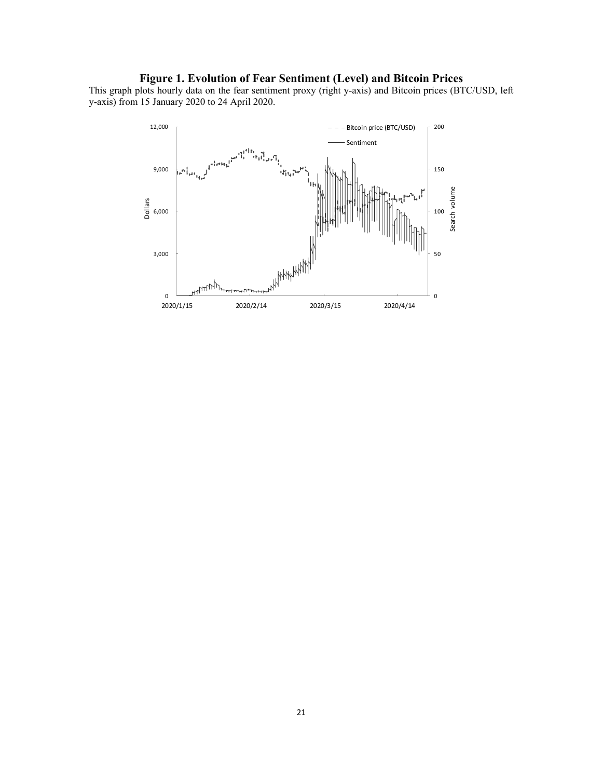## **Figure 1. Evolution of Fear Sentiment (Level) and Bitcoin Prices**

This graph plots hourly data on the fear sentiment proxy (right y-axis) and Bitcoin prices (BTC/USD, left y-axis) from 15 January 2020 to 24 April 2020.

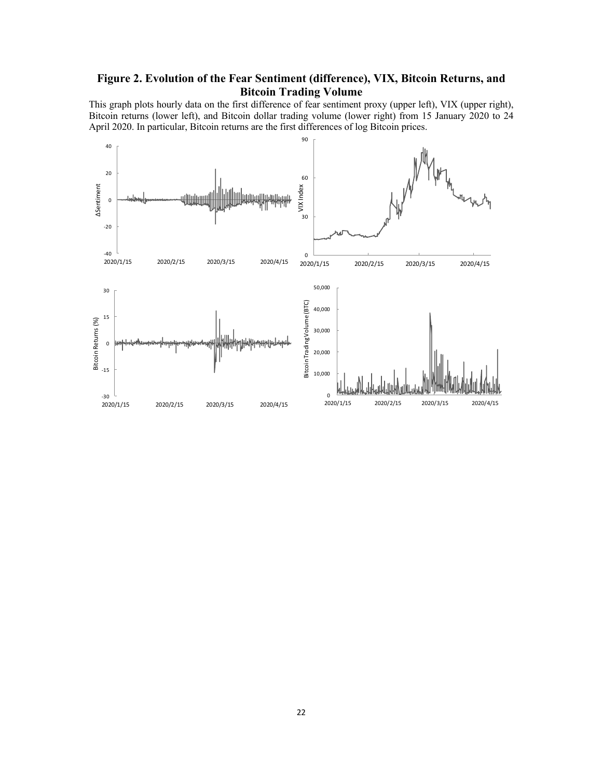## **Figure 2. Evolution of the Fear Sentiment (difference), VIX, Bitcoin Returns, and Bitcoin Trading Volume**

This graph plots hourly data on the first difference of fear sentiment proxy (upper left), VIX (upper right), Bitcoin returns (lower left), and Bitcoin dollar trading volume (lower right) from 15 January 2020 to 24 April 2020. In particular, Bitcoin returns are the first differences of log Bitcoin prices.

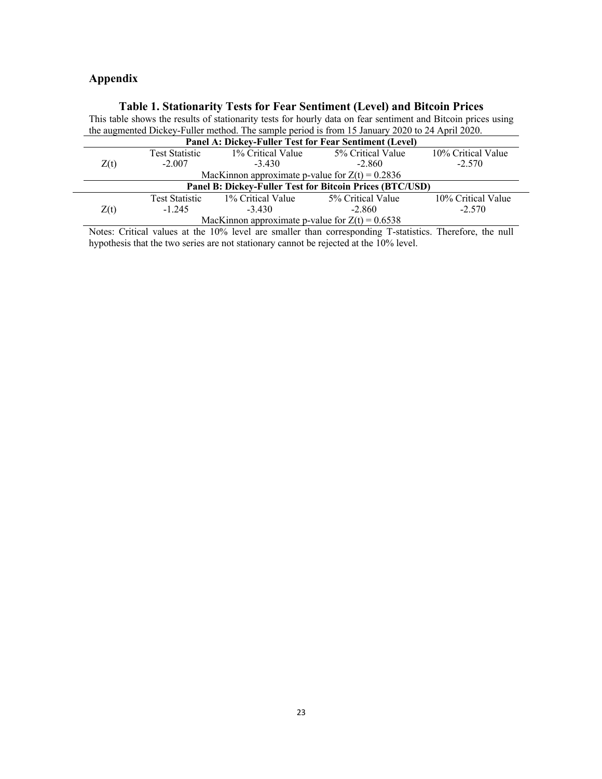# **Appendix**

# **Table 1. Stationarity Tests for Fear Sentiment (Level) and Bitcoin Prices**

| This table shows the results of stationarity tests for hourly data on fear sentiment and Bitcoin prices using |                                                                                       |          |          |          |  |  |  |
|---------------------------------------------------------------------------------------------------------------|---------------------------------------------------------------------------------------|----------|----------|----------|--|--|--|
| the augmented Dickey-Fuller method. The sample period is from 15 January 2020 to 24 April 2020.               |                                                                                       |          |          |          |  |  |  |
| Panel A: Dickey-Fuller Test for Fear Sentiment (Level)                                                        |                                                                                       |          |          |          |  |  |  |
|                                                                                                               | 10% Critical Value<br>5% Critical Value<br>1% Critical Value<br><b>Test Statistic</b> |          |          |          |  |  |  |
| Z(t)                                                                                                          | $-2.007$                                                                              | $-3.430$ | $-2.860$ | $-2.570$ |  |  |  |
| $M_{\alpha\beta}V_{\alpha\beta\gamma\delta\gamma}$ conversionate a subset for $7/4$ = 0.2026                  |                                                                                       |          |          |          |  |  |  |

| MacKinnon approximate p-value for $Z(t) = 0.2836$                                     |          |          |          |          |  |  |  |
|---------------------------------------------------------------------------------------|----------|----------|----------|----------|--|--|--|
| Panel B: Dickey-Fuller Test for Bitcoin Prices (BTC/USD)                              |          |          |          |          |  |  |  |
| 10% Critical Value<br>5% Critical Value<br>1% Critical Value<br><b>Test Statistic</b> |          |          |          |          |  |  |  |
| Z(t)                                                                                  | $-1.245$ | $-3.430$ | $-2.860$ | $-2.570$ |  |  |  |
| MacKinnon approximate p-value for $Z(t) = 0.6538$                                     |          |          |          |          |  |  |  |

Notes: Critical values at the 10% level are smaller than corresponding T-statistics. Therefore, the null hypothesis that the two series are not stationary cannot be rejected at the 10% level.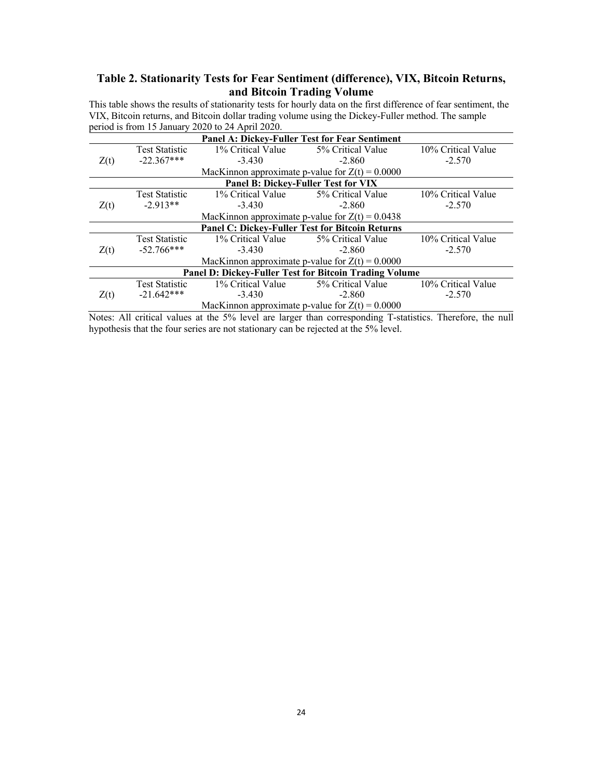## **Table 2. Stationarity Tests for Fear Sentiment (difference), VIX, Bitcoin Returns, and Bitcoin Trading Volume**

This table shows the results of stationarity tests for hourly data on the first difference of fear sentiment, the VIX, Bitcoin returns, and Bitcoin dollar trading volume using the Dickey-Fuller method. The sample period is from 15 January 2020 to 24 April 2020.

| $p$ CHOQ IS HOIII IJ January 2020 to 24 April 2020.           |                       |                   |                                                   |                    |  |  |  |  |
|---------------------------------------------------------------|-----------------------|-------------------|---------------------------------------------------|--------------------|--|--|--|--|
| Panel A: Dickey-Fuller Test for Fear Sentiment                |                       |                   |                                                   |                    |  |  |  |  |
|                                                               | <b>Test Statistic</b> | 1% Critical Value | 5% Critical Value                                 | 10% Critical Value |  |  |  |  |
| Z(t)                                                          | $-22.367***$          | $-3.430$          | $-2.860$                                          | $-2.570$           |  |  |  |  |
|                                                               |                       |                   | MacKinnon approximate p-value for $Z(t) = 0.0000$ |                    |  |  |  |  |
|                                                               |                       |                   | <b>Panel B: Dickey-Fuller Test for VIX</b>        |                    |  |  |  |  |
|                                                               | <b>Test Statistic</b> | 1% Critical Value | 5% Critical Value                                 | 10% Critical Value |  |  |  |  |
| Z(t)                                                          | $-2.913**$            | $-3.430$          | $-2.860$                                          | $-2.570$           |  |  |  |  |
|                                                               |                       |                   |                                                   |                    |  |  |  |  |
| <b>Panel C: Dickey-Fuller Test for Bitcoin Returns</b>        |                       |                   |                                                   |                    |  |  |  |  |
|                                                               | <b>Test Statistic</b> | 1% Critical Value | 5% Critical Value                                 | 10% Critical Value |  |  |  |  |
| Z(t)                                                          | $-52.766***$          | $-3.430$          | $-2.860$                                          | $-2.570$           |  |  |  |  |
|                                                               |                       |                   | MacKinnon approximate p-value for $Z(t) = 0.0000$ |                    |  |  |  |  |
| <b>Panel D: Dickey-Fuller Test for Bitcoin Trading Volume</b> |                       |                   |                                                   |                    |  |  |  |  |
|                                                               | <b>Test Statistic</b> | 1% Critical Value | 5% Critical Value                                 | 10% Critical Value |  |  |  |  |
| Z(t)                                                          | $-21.642***$          | $-3.430$          | $-2.860$                                          | $-2.570$           |  |  |  |  |
|                                                               |                       |                   | MacKinnon approximate p-value for $Z(t) = 0.0000$ |                    |  |  |  |  |

Notes: All critical values at the 5% level are larger than corresponding T-statistics. Therefore, the null hypothesis that the four series are not stationary can be rejected at the 5% level.